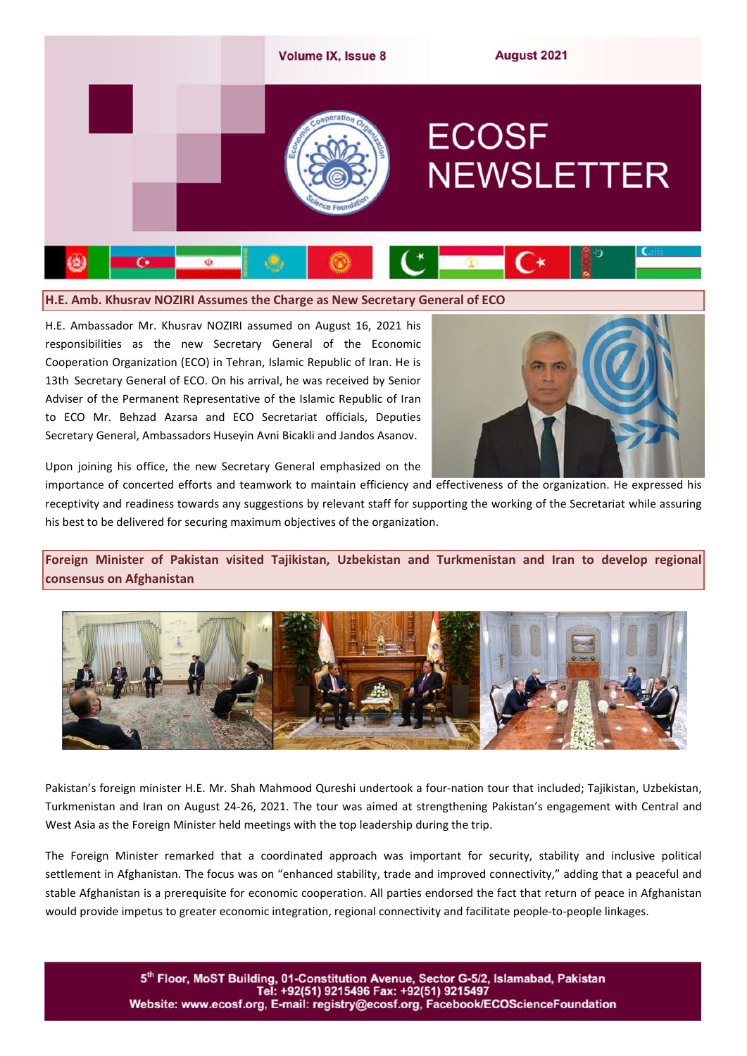

**H.E. Amb. Khusrav NOZIRI Assumes the Charge as New Secretary General of ECO** 

H.E. Ambassador Mr. Khusrav NOZIRI assumed on August 16, 2021 his responsibilities as the new Secretary General of the Economic Cooperation Organization (ECO) in Tehran, Islamic Republic of Iran. He is 13th Secretary General of ECO. On his arrival, he was received by Senior Adviser of the Permanent Representative of the Islamic Republic of Iran to ECO Mr. Behzad Azarsa and ECO Secretariat officials, Deputies Secretary General, Ambassadors Huseyin Avni Bicakli and Jandos Asanov.



Upon joining his office, the new Secretary General emphasized on the

importance of concerted efforts and teamwork to maintain efficiency and effectiveness of the organization. He expressed his receptivity and readiness towards any suggestions by relevant staff for supporting the working of the Secretariat while assuring his best to be delivered for securing maximum objectives of the organization.

**Foreign Minister of Pakistan visited Tajikistan, Uzbekistan and Turkmenistan and Iran to develop regional consensus on Afghanistan**



Pakistan's foreign minister H.E. Mr. Shah Mahmood Qureshi undertook a four-nation tour that included; Tajikistan, Uzbekistan, Turkmenistan and Iran on August 24-26, 2021. The tour was aimed at strengthening Pakistan's engagement with Central and West Asia as the Foreign Minister held meetings with the top leadership during the trip.

The Foreign Minister remarked that a coordinated approach was important for security, stability and inclusive political settlement in Afghanistan. The focus was on "enhanced stability, trade and improved connectivity," adding that a peaceful and stable Afghanistan is a prerequisite for economic cooperation. All parties endorsed the fact that return of peace in Afghanistan would provide impetus to greater economic integration, regional connectivity and facilitate people-to-people linkages.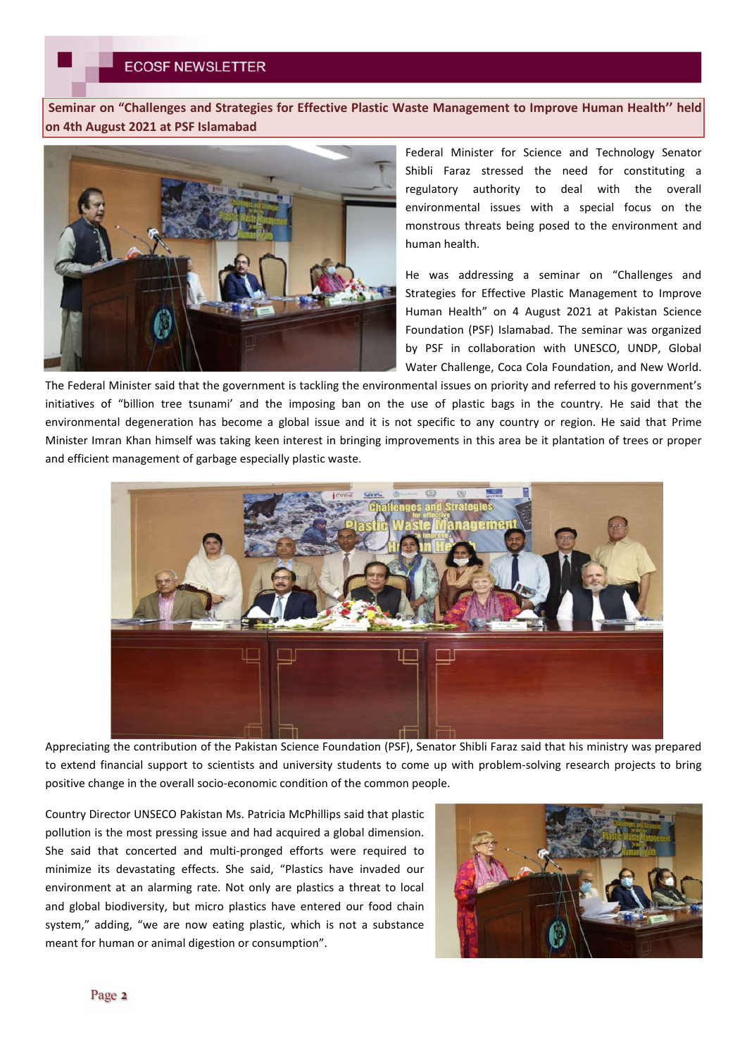**Seminar on "Challenges and Strategies for Effective Plastic Waste Management to Improve Human Health'' held on 4th August 2021 at PSF Islamabad**



Federal Minister for Science and Technology Senator Shibli Faraz stressed the need for constituting a regulatory authority to deal with the overall environmental issues with a special focus on the monstrous threats being posed to the environment and human health.

He was addressing a seminar on "Challenges and Strategies for Effective Plastic Management to Improve Human Health" on 4 August 2021 at Pakistan Science Foundation (PSF) Islamabad. The seminar was organized by PSF in collaboration with UNESCO, UNDP, Global Water Challenge, Coca Cola Foundation, and New World.

The Federal Minister said that the government is tackling the environmental issues on priority and referred to his government's initiatives of "billion tree tsunami' and the imposing ban on the use of plastic bags in the country. He said that the environmental degeneration has become a global issue and it is not specific to any country or region. He said that Prime Minister Imran Khan himself was taking keen interest in bringing improvements in this area be it plantation of trees or proper and efficient management of garbage especially plastic waste.



Appreciating the contribution of the Pakistan Science Foundation (PSF), Senator Shibli Faraz said that his ministry was prepared to extend financial support to scientists and university students to come up with problem-solving research projects to bring positive change in the overall socio-economic condition of the common people.

Country Director UNSECO Pakistan Ms. Patricia McPhillips said that plastic pollution is the most pressing issue and had acquired a global dimension. She said that concerted and multi-pronged efforts were required to minimize its devastating effects. She said, "Plastics have invaded our environment at an alarming rate. Not only are plastics a threat to local and global biodiversity, but micro plastics have entered our food chain system," adding, "we are now eating plastic, which is not a substance meant for human or animal digestion or consumption".

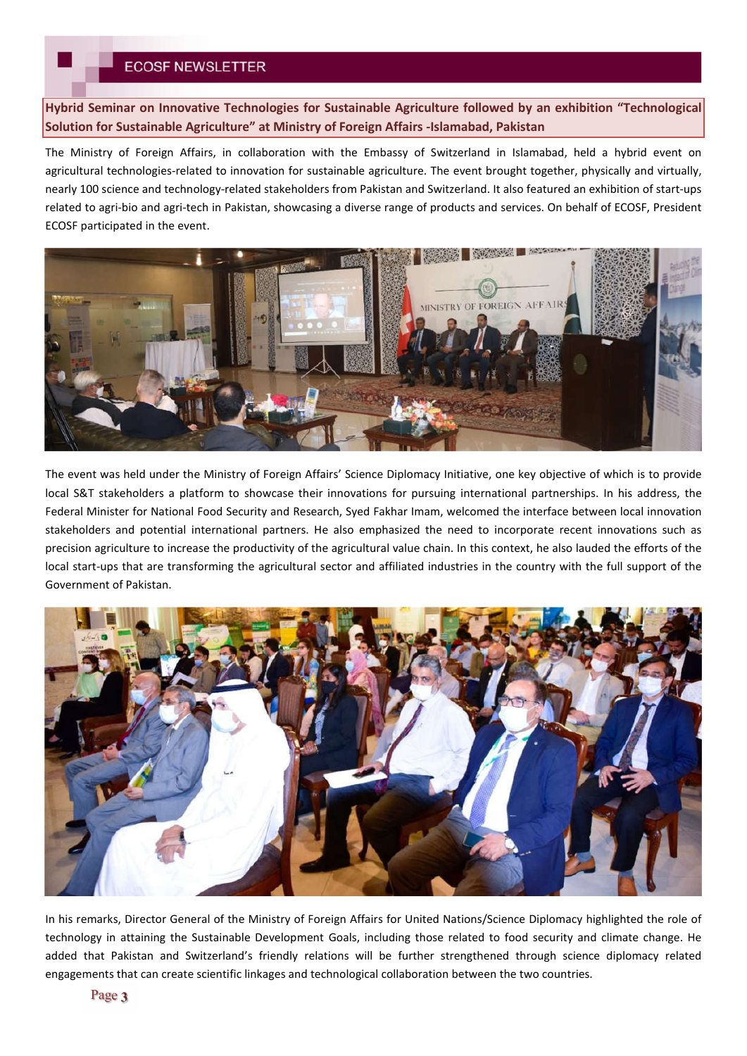**Hybrid Seminar on Innovative Technologies for Sustainable Agriculture followed by an exhibition "Technological Solution for Sustainable Agriculture" at Ministry of Foreign Affairs -Islamabad, Pakistan**

The Ministry of Foreign Affairs, in collaboration with the Embassy of Switzerland in Islamabad, held a hybrid event on agricultural technologies-related to innovation for sustainable agriculture. The event brought together, physically and virtually, nearly 100 science and technology-related stakeholders from Pakistan and Switzerland. It also featured an exhibition of start-ups related to agri-bio and agri-tech in Pakistan, showcasing a diverse range of products and services. On behalf of ECOSF, President ECOSF participated in the event.



The event was held under the Ministry of Foreign Affairs' Science Diplomacy Initiative, one key objective of which is to provide local S&T stakeholders a platform to showcase their innovations for pursuing international partnerships. In his address, the Federal Minister for National Food Security and Research, Syed Fakhar Imam, welcomed the interface between local innovation stakeholders and potential international partners. He also emphasized the need to incorporate recent innovations such as precision agriculture to increase the productivity of the agricultural value chain. In this context, he also lauded the efforts of the local start-ups that are transforming the agricultural sector and affiliated industries in the country with the full support of the Government of Pakistan.



In his remarks, Director General of the Ministry of Foreign Affairs for United Nations/Science Diplomacy highlighted the role of technology in attaining the Sustainable Development Goals, including those related to food security and climate change. He added that Pakistan and Switzerland's friendly relations will be further strengthened through science diplomacy related engagements that can create scientific linkages and technological collaboration between the two countries.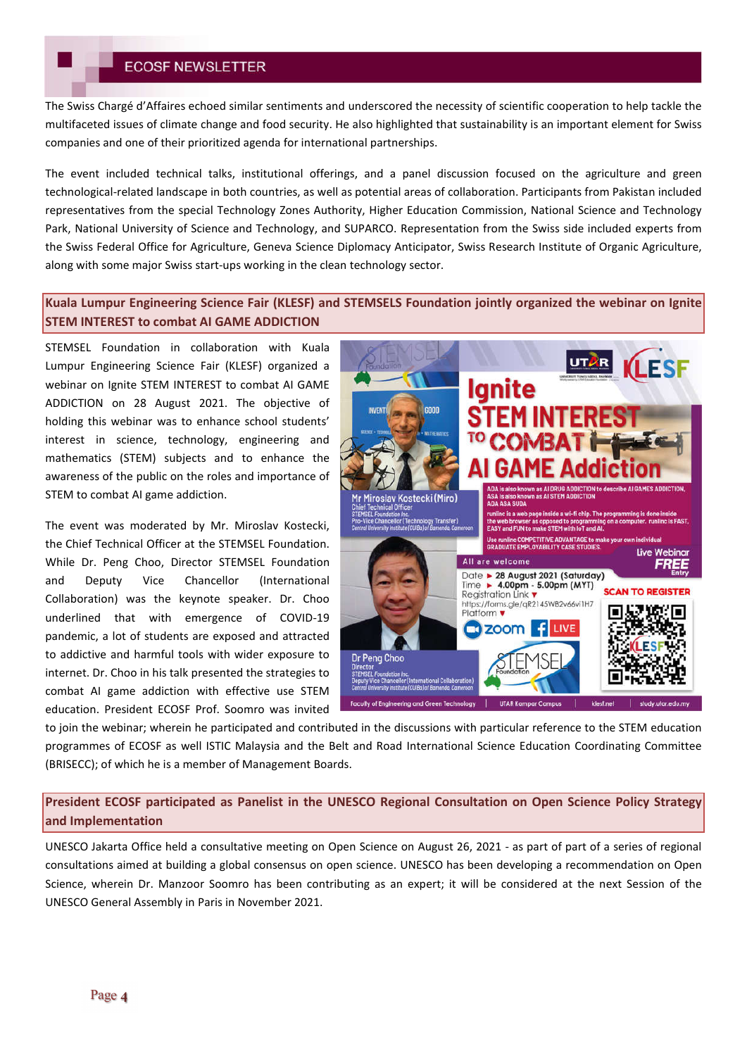The Swiss Chargé d'Affaires echoed similar sentiments and underscored the necessity of scientific cooperation to help tackle the multifaceted issues of climate change and food security. He also highlighted that sustainability is an important element for Swiss companies and one of their prioritized agenda for international partnerships.

The event included technical talks, institutional offerings, and a panel discussion focused on the agriculture and green technological-related landscape in both countries, as well as potential areas of collaboration. Participants from Pakistan included representatives from the special Technology Zones Authority, Higher Education Commission, National Science and Technology Park, National University of Science and Technology, and SUPARCO. Representation from the Swiss side included experts from the Swiss Federal Office for Agriculture, Geneva Science Diplomacy Anticipator, Swiss Research Institute of Organic Agriculture, along with some major Swiss start-ups working in the clean technology sector.

## **Kuala Lumpur Engineering Science Fair (KLESF) and STEMSELS Foundation jointly organized the webinar on Ignite STEM INTEREST to combat AI GAME ADDICTION**

STEMSEL Foundation in collaboration with Kuala Lumpur Engineering Science Fair (KLESF) organized a webinar on Ignite STEM INTEREST to combat AI GAME ADDICTION on 28 August 2021. The objective of holding this webinar was to enhance school students' interest in science, technology, engineering and mathematics (STEM) subjects and to enhance the awareness of the public on the roles and importance of STEM to combat AI game addiction.

The event was moderated by Mr. Miroslav Kostecki, the Chief Technical Officer at the STEMSEL Foundation. While Dr. Peng Choo, Director STEMSEL Foundation and Deputy Vice Chancellor (International Collaboration) was the keynote speaker. Dr. Choo underlined that with emergence of COVID-19 pandemic, a lot of students are exposed and attracted to addictive and harmful tools with wider exposure to internet. Dr. Choo in his talk presented the strategies to combat AI game addiction with effective use STEM education. President ECOSF Prof. Soomro was invited



to join the webinar; wherein he participated and contributed in the discussions with particular reference to the STEM education programmes of ECOSF as well ISTIC Malaysia and the Belt and Road International Science Education Coordinating Committee (BRISECC); of which he is a member of Management Boards.

**President ECOSF participated as Panelist in the UNESCO Regional Consultation on Open Science Policy Strategy and Implementation**

UNESCO Jakarta Office held a consultative meeting on Open Science on August 26, 2021 - as part of part of a series of regional consultations aimed at building a global consensus on open science. UNESCO has been developing a recommendation on Open Science, wherein Dr. Manzoor Soomro has been contributing as an expert; it will be considered at the next Session of the UNESCO General Assembly in Paris in November 2021.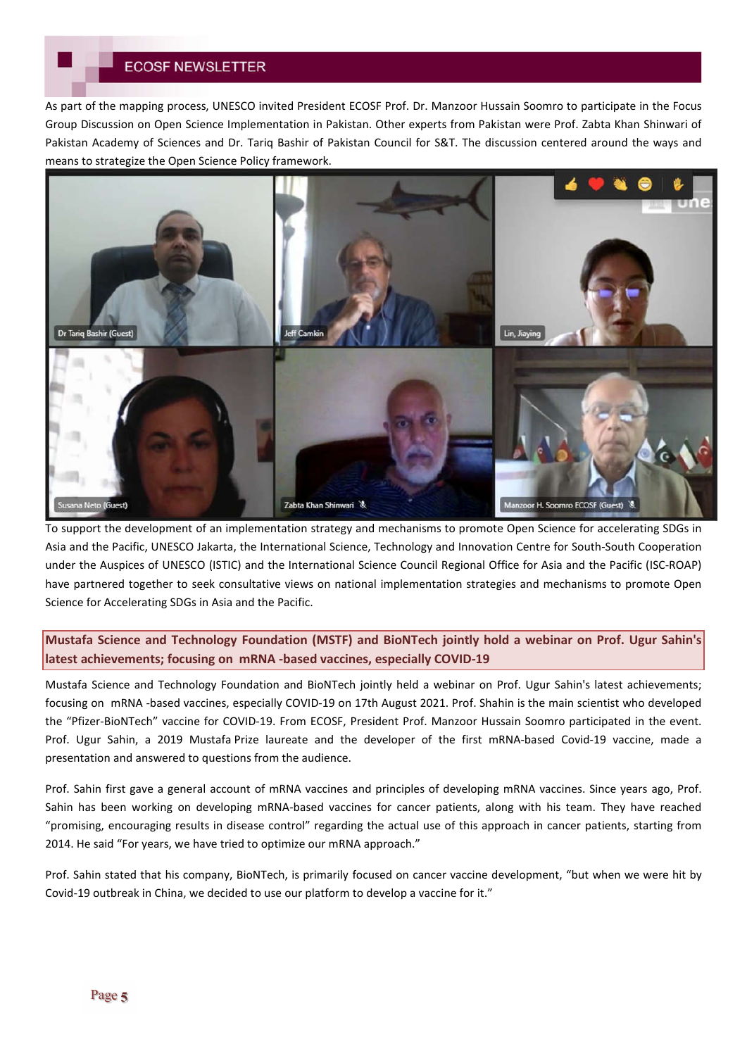As part of the mapping process, UNESCO invited President ECOSF Prof. Dr. Manzoor Hussain Soomro to participate in the Focus Group Discussion on Open Science Implementation in Pakistan. Other experts from Pakistan were Prof. Zabta Khan Shinwari of Pakistan Academy of Sciences and Dr. Tariq Bashir of Pakistan Council for S&T. The discussion centered around the ways and means to strategize the Open Science Policy framework.



To support the development of an implementation strategy and mechanisms to promote Open Science for accelerating SDGs in Asia and the Pacific, UNESCO Jakarta, the International Science, Technology and Innovation Centre for South-South Cooperation under the Auspices of UNESCO (ISTIC) and the International Science Council Regional Office for Asia and the Pacific (ISC-ROAP) have partnered together to seek consultative views on national implementation strategies and mechanisms to promote Open Science for Accelerating SDGs in Asia and the Pacific.

**Mustafa Science and Technology Foundation (MSTF) and BioNTech jointly hold a webinar on Prof. Ugur Sahin's latest achievements; focusing on mRNA -based vaccines, especially COVID-19** 

Mustafa Science and Technology Foundation and BioNTech jointly held a webinar on Prof. Ugur Sahin's latest achievements; focusing on mRNA -based vaccines, especially COVID-19 on 17th August 2021. Prof. Shahin is the main scientist who developed the "Pfizer-BioNTech" vaccine for COVID-19. From ECOSF, President Prof. Manzoor Hussain Soomro participated in the event. Prof. Ugur Sahin, a 2019 Mustafa Prize laureate and the developer of the first mRNA-based Covid-19 vaccine, made a presentation and answered to questions from the audience.

Prof. Sahin first gave a general account of mRNA vaccines and principles of developing mRNA vaccines. Since years ago, Prof. Sahin has been working on developing mRNA-based vaccines for cancer patients, along with his team. They have reached "promising, encouraging results in disease control" regarding the actual use of this approach in cancer patients, starting from 2014. He said "For years, we have tried to optimize our mRNA approach."

Prof. Sahin stated that his company, BioNTech, is primarily focused on cancer vaccine development, "but when we were hit by Covid-19 outbreak in China, we decided to use our platform to develop a vaccine for it."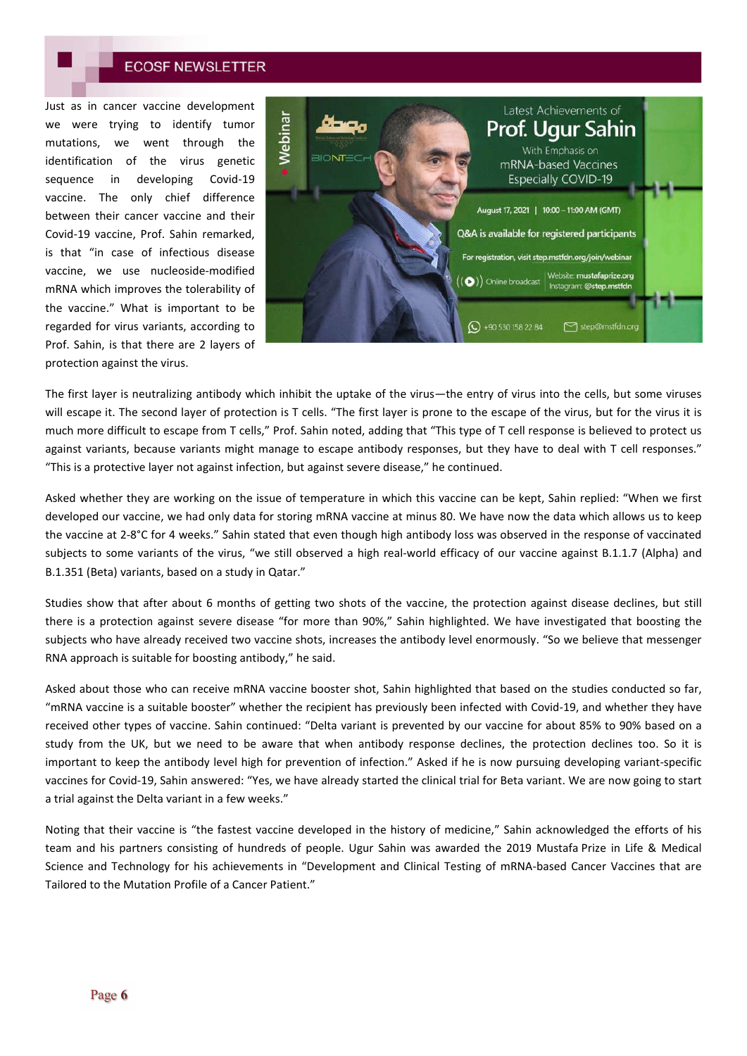Just as in cancer vaccine development we were trying to identify tumor mutations, we went through the identification of the virus genetic sequence in developing Covid-19 vaccine. The only chief difference between their cancer vaccine and their Covid-19 vaccine, Prof. Sahin remarked, is that "in case of infectious disease vaccine, we use nucleoside-modified mRNA which improves the tolerability of the vaccine." What is important to be regarded for virus variants, according to Prof. Sahin, is that there are 2 layers of protection against the virus.



The first layer is neutralizing antibody which inhibit the uptake of the virus—the entry of virus into the cells, but some viruses will escape it. The second layer of protection is T cells. "The first layer is prone to the escape of the virus, but for the virus it is much more difficult to escape from T cells," Prof. Sahin noted, adding that "This type of T cell response is believed to protect us against variants, because variants might manage to escape antibody responses, but they have to deal with T cell responses." "This is a protective layer not against infection, but against severe disease," he continued.

Asked whether they are working on the issue of temperature in which this vaccine can be kept, Sahin replied: "When we first developed our vaccine, we had only data for storing mRNA vaccine at minus 80. We have now the data which allows us to keep the vaccine at 2-8°C for 4 weeks." Sahin stated that even though high antibody loss was observed in the response of vaccinated subjects to some variants of the virus, "we still observed a high real-world efficacy of our vaccine against B.1.1.7 (Alpha) and B.1.351 (Beta) variants, based on a study in Qatar."

Studies show that after about 6 months of getting two shots of the vaccine, the protection against disease declines, but still there is a protection against severe disease "for more than 90%," Sahin highlighted. We have investigated that boosting the subjects who have already received two vaccine shots, increases the antibody level enormously. "So we believe that messenger RNA approach is suitable for boosting antibody," he said.

Asked about those who can receive mRNA vaccine booster shot, Sahin highlighted that based on the studies conducted so far, "mRNA vaccine is a suitable booster" whether the recipient has previously been infected with Covid-19, and whether they have received other types of vaccine. Sahin continued: "Delta variant is prevented by our vaccine for about 85% to 90% based on a study from the UK, but we need to be aware that when antibody response declines, the protection declines too. So it is important to keep the antibody level high for prevention of infection." Asked if he is now pursuing developing variant-specific vaccines for Covid-19, Sahin answered: "Yes, we have already started the clinical trial for Beta variant. We are now going to start a trial against the Delta variant in a few weeks."

Noting that their vaccine is "the fastest vaccine developed in the history of medicine," Sahin acknowledged the efforts of his team and his partners consisting of hundreds of people. Ugur Sahin was awarded the 2019 Mustafa Prize in Life & Medical Science and Technology for his achievements in "Development and Clinical Testing of mRNA-based Cancer Vaccines that are Tailored to the Mutation Profile of a Cancer Patient."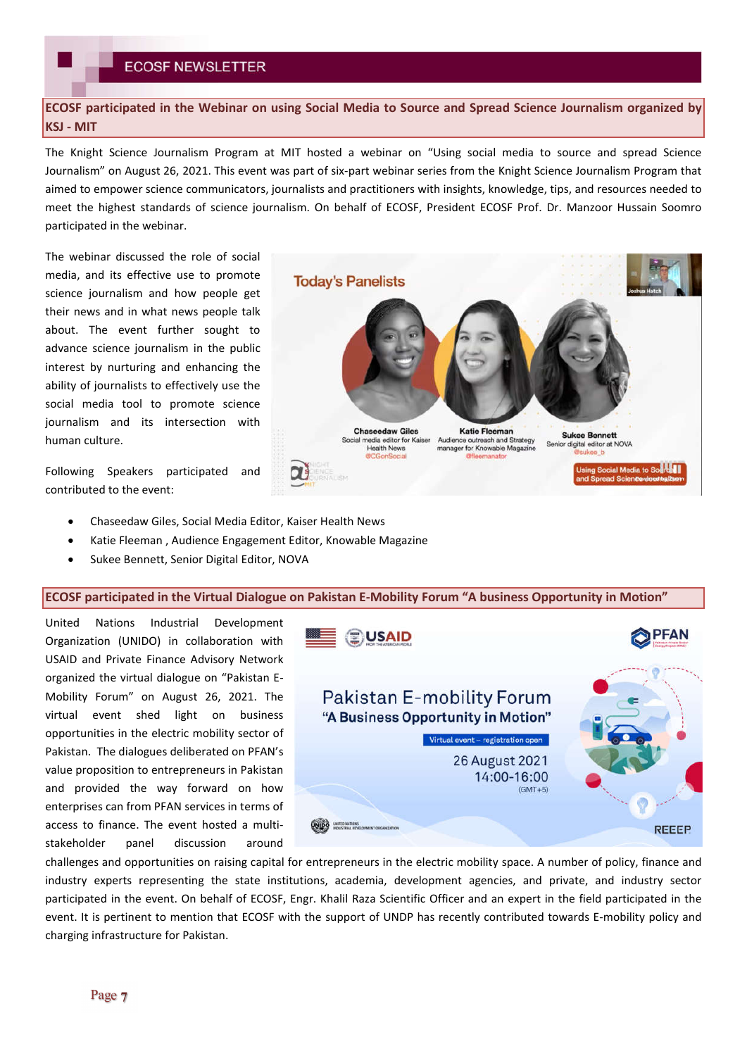**ECOSF participated in the Webinar on using Social Media to Source and Spread Science Journalism organized by KSJ - MIT**

The Knight Science Journalism Program at MIT hosted a webinar on "Using social media to source and spread Science Journalism" on August 26, 2021. This event was part of six-part webinar series from the Knight Science Journalism Program that aimed to empower science communicators, journalists and practitioners with insights, knowledge, tips, and resources needed to meet the highest standards of science journalism. On behalf of ECOSF, President ECOSF Prof. Dr. Manzoor Hussain Soomro participated in the webinar.

The webinar discussed the role of social media, and its effective use to promote science journalism and how people get their news and in what news people talk about. The event further sought to advance science journalism in the public interest by nurturing and enhancing the ability of journalists to effectively use the social media tool to promote science journalism and its intersection with human culture.

Following Speakers participated and contributed to the event:

- Chaseedaw Giles, Social Media Editor, Kaiser Health News
- Katie Fleeman , Audience Engagement Editor, Knowable Magazine
- Sukee Bennett, Senior Digital Editor, NOVA

### **ECOSF participated in the Virtual Dialogue on Pakistan E-Mobility Forum "A business Opportunity in Motion"**

United Nations Industrial Development Organization (UNIDO) in collaboration with USAID and Private Finance Advisory Network organized the virtual dialogue on "Pakistan E-Mobility Forum" on August 26, 2021. The virtual event shed light on business opportunities in the electric mobility sector of Pakistan. The dialogues deliberated on PFAN's value proposition to entrepreneurs in Pakistan and provided the way forward on how enterprises can from PFAN services in terms of access to finance. The event hosted a multistakeholder panel discussion around



challenges and opportunities on raising capital for entrepreneurs in the electric mobility space. A number of policy, finance and industry experts representing the state institutions, academia, development agencies, and private, and industry sector participated in the event. On behalf of ECOSF, Engr. Khalil Raza Scientific Officer and an expert in the field participated in the event. It is pertinent to mention that ECOSF with the support of UNDP has recently contributed towards E-mobility policy and charging infrastructure for Pakistan.

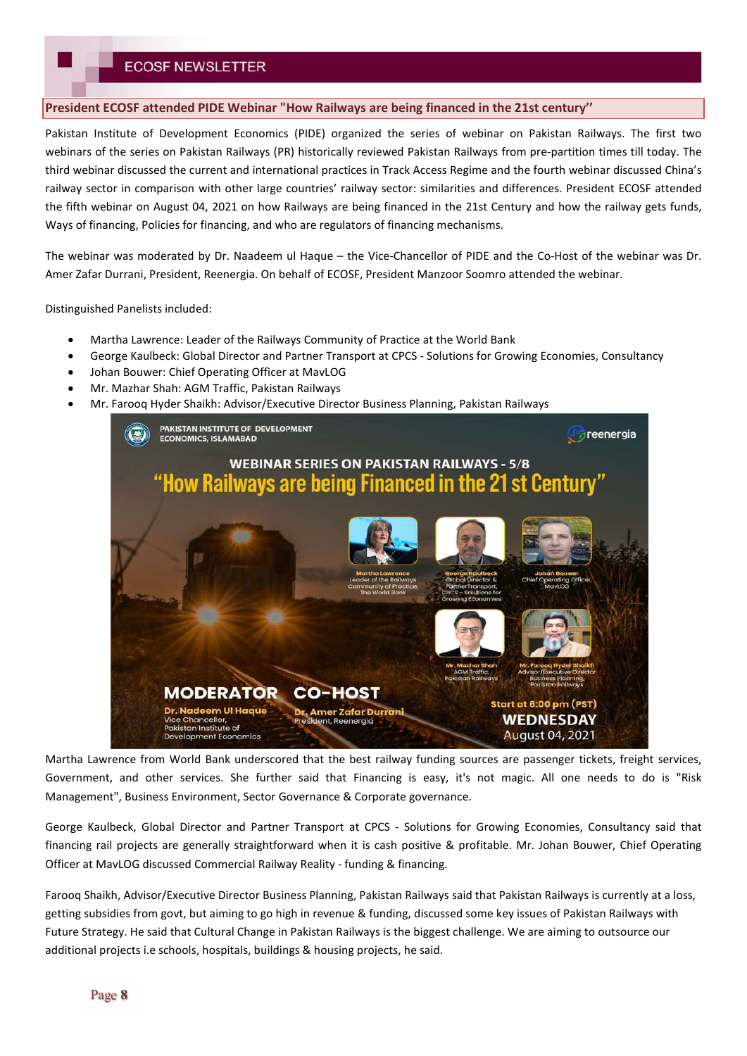### **President ECOSF attended PIDE Webinar "How Railways are being financed in the 21st century''**

Pakistan Institute of Development Economics (PIDE) organized the series of webinar on Pakistan Railways. The first two webinars of the series on Pakistan Railways (PR) historically reviewed Pakistan Railways from pre-partition times till today. The third webinar discussed the current and international practices in Track Access Regime and the fourth webinar discussed China's railway sector in comparison with other large countries' railway sector: similarities and differences. President ECOSF attended the fifth webinar on August 04, 2021 on how Railways are being financed in the 21st Century and how the railway gets funds, Ways of financing, Policies for financing, and who are regulators of financing mechanisms.

The webinar was moderated by Dr. Naadeem ul Haque – the Vice-Chancellor of PIDE and the Co-Host of the webinar was Dr. Amer Zafar Durrani, President, Reenergia. On behalf of ECOSF, President Manzoor Soomro attended the webinar.

Distinguished Panelists included:

- Martha Lawrence: Leader of the Railways Community of Practice at the World Bank
- George Kaulbeck: Global Director and Partner Transport at CPCS Solutions for Growing Economies, Consultancy
- Johan Bouwer: Chief Operating Officer at MavLOG
- Mr. Mazhar Shah: AGM Traffic, Pakistan Railways
- Mr. Farooq Hyder Shaikh: Advisor/Executive Director Business Planning, Pakistan Railways



Martha Lawrence from World Bank underscored that the best railway funding sources are passenger tickets, freight services, Government, and other services. She further said that Financing is easy, it's not magic. All one needs to do is "Risk Management", Business Environment, Sector Governance & Corporate governance.

George Kaulbeck, Global Director and Partner Transport at CPCS - Solutions for Growing Economies, Consultancy said that financing rail projects are generally straightforward when it is cash positive & profitable. Mr. Johan Bouwer, Chief Operating Officer at MavLOG discussed Commercial Railway Reality - funding & financing.

Farooq Shaikh, Advisor/Executive Director Business Planning, Pakistan Railways said that Pakistan Railways is currently at a loss, getting subsidies from govt, but aiming to go high in revenue & funding, discussed some key issues of Pakistan Railways with Future Strategy. He said that Cultural Change in Pakistan Railways is the biggest challenge. We are aiming to outsource our additional projects i.e schools, hospitals, buildings & housing projects, he said.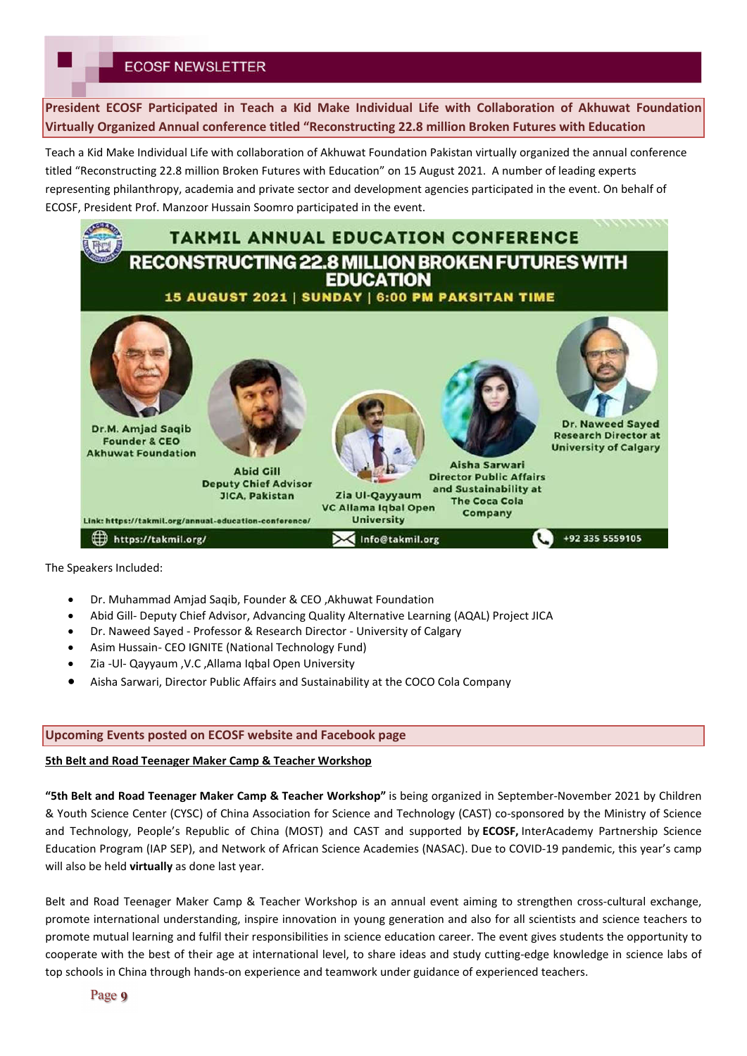**President ECOSF Participated in Teach a Kid Make Individual Life with Collaboration of Akhuwat Foundation Virtually Organized Annual conference titled "Reconstructing 22.8 million Broken Futures with Education** 

Teach a Kid Make Individual Life with collaboration of Akhuwat Foundation Pakistan virtually organized the annual conference titled "Reconstructing 22.8 million Broken Futures with Education" on 15 August 2021. A number of leading experts representing philanthropy, academia and private sector and development agencies participated in the event. On behalf of ECOSF, President Prof. Manzoor Hussain Soomro participated in the event.



The Speakers Included:

- Dr. Muhammad Amjad Saqib, Founder & CEO ,Akhuwat Foundation
- Abid Gill- Deputy Chief Advisor, Advancing Quality Alternative Learning (AQAL) Project JICA
- Dr. Naweed Sayed Professor & Research Director University of Calgary
- Asim Hussain- CEO IGNITE (National Technology Fund)
- Zia -Ul- Qayyaum ,V.C ,Allama Iqbal Open University
- Aisha Sarwari, Director Public Affairs and Sustainability at the COCO Cola Company

#### **Upcoming Events posted on ECOSF website and Facebook page**

#### **5th Belt and Road Teenager Maker Camp & Teacher Workshop**

**"5th Belt and Road Teenager Maker Camp & Teacher Workshop"** is being organized in September-November 2021 by Children & Youth Science Center (CYSC) of China Association for Science and Technology (CAST) co-sponsored by the Ministry of Science and Technology, People's Republic of China (MOST) and CAST and supported by **ECOSF,** InterAcademy Partnership Science Education Program (IAP SEP), and Network of African Science Academies (NASAC). Due to COVID-19 pandemic, this year's camp will also be held **virtually** as done last year.

Belt and Road Teenager Maker Camp & Teacher Workshop is an annual event aiming to strengthen cross-cultural exchange, promote international understanding, inspire innovation in young generation and also for all scientists and science teachers to promote mutual learning and fulfil their responsibilities in science education career. The event gives students the opportunity to cooperate with the best of their age at international level, to share ideas and study cutting-edge knowledge in science labs of top schools in China through hands-on experience and teamwork under guidance of experienced teachers.